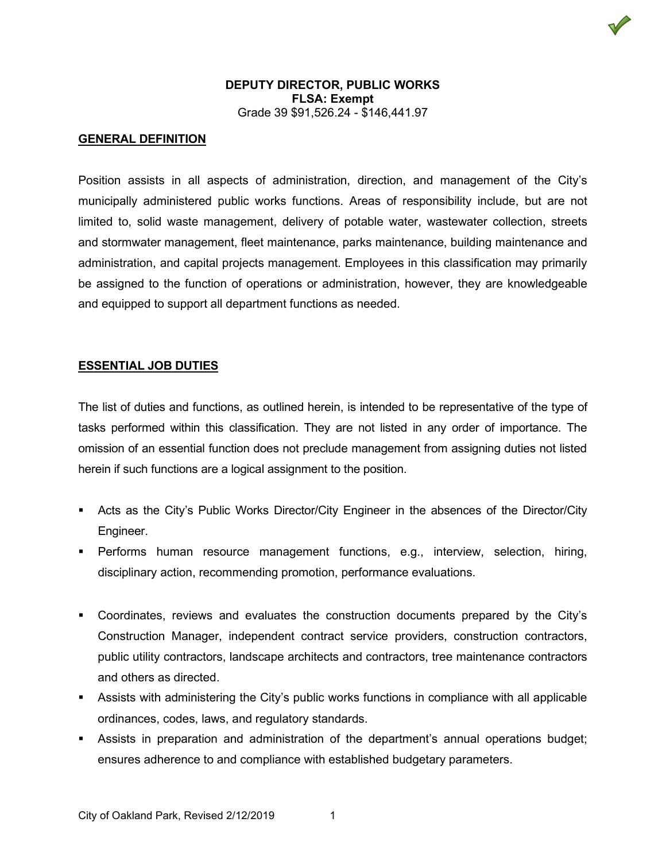

## **GENERAL DEFINITION**

Position assists in all aspects of administration, direction, and management of the City's municipally administered public works functions. Areas of responsibility include, but are not limited to, solid waste management, delivery of potable water, wastewater collection, streets and stormwater management, fleet maintenance, parks maintenance, building maintenance and administration, and capital projects management. Employees in this classification may primarily be assigned to the function of operations or administration, however, they are knowledgeable and equipped to support all department functions as needed.

#### **ESSENTIAL JOB DUTIES**

The list of duties and functions, as outlined herein, is intended to be representative of the type of tasks performed within this classification. They are not listed in any order of importance. The omission of an essential function does not preclude management from assigning duties not listed herein if such functions are a logical assignment to the position.

- Acts as the City's Public Works Director/City Engineer in the absences of the Director/City Engineer.
- Performs human resource management functions, e.g., interview, selection, hiring, disciplinary action, recommending promotion, performance evaluations.
- Coordinates, reviews and evaluates the construction documents prepared by the City's Construction Manager, independent contract service providers, construction contractors, public utility contractors, landscape architects and contractors, tree maintenance contractors and others as directed.
- Assists with administering the City's public works functions in compliance with all applicable ordinances, codes, laws, and regulatory standards.
- Assists in preparation and administration of the department's annual operations budget; ensures adherence to and compliance with established budgetary parameters.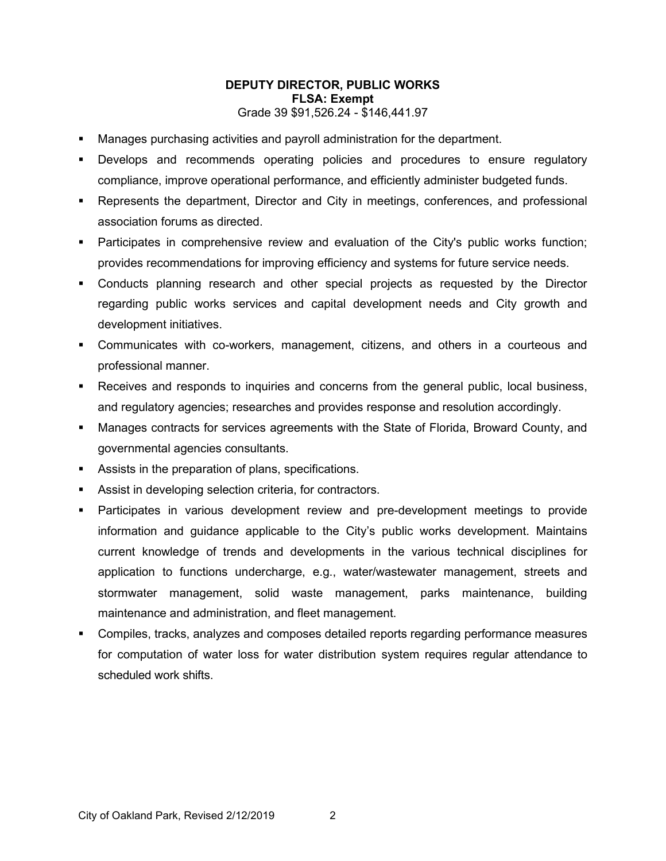- Manages purchasing activities and payroll administration for the department.
- Develops and recommends operating policies and procedures to ensure regulatory compliance, improve operational performance, and efficiently administer budgeted funds.
- Represents the department, Director and City in meetings, conferences, and professional association forums as directed.
- Participates in comprehensive review and evaluation of the City's public works function; provides recommendations for improving efficiency and systems for future service needs.
- Conducts planning research and other special projects as requested by the Director regarding public works services and capital development needs and City growth and development initiatives.
- Communicates with co-workers, management, citizens, and others in a courteous and professional manner.
- Receives and responds to inquiries and concerns from the general public, local business, and regulatory agencies; researches and provides response and resolution accordingly.
- Manages contracts for services agreements with the State of Florida, Broward County, and governmental agencies consultants.
- Assists in the preparation of plans, specifications.
- Assist in developing selection criteria, for contractors.
- Participates in various development review and pre-development meetings to provide information and guidance applicable to the City's public works development. Maintains current knowledge of trends and developments in the various technical disciplines for application to functions undercharge, e.g., water/wastewater management, streets and stormwater management, solid waste management, parks maintenance, building maintenance and administration, and fleet management.
- Compiles, tracks, analyzes and composes detailed reports regarding performance measures for computation of water loss for water distribution system requires regular attendance to scheduled work shifts.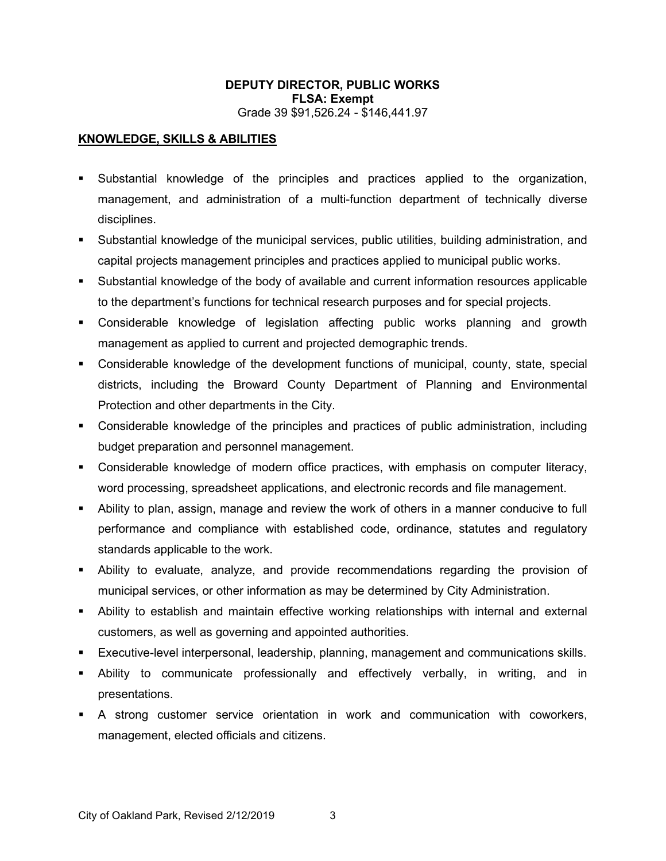### **KNOWLEDGE, SKILLS & ABILITIES**

- Substantial knowledge of the principles and practices applied to the organization, management, and administration of a multi-function department of technically diverse disciplines.
- Substantial knowledge of the municipal services, public utilities, building administration, and capital projects management principles and practices applied to municipal public works.
- Substantial knowledge of the body of available and current information resources applicable to the department's functions for technical research purposes and for special projects.
- Considerable knowledge of legislation affecting public works planning and growth management as applied to current and projected demographic trends.
- Considerable knowledge of the development functions of municipal, county, state, special districts, including the Broward County Department of Planning and Environmental Protection and other departments in the City.
- Considerable knowledge of the principles and practices of public administration, including budget preparation and personnel management.
- Considerable knowledge of modern office practices, with emphasis on computer literacy, word processing, spreadsheet applications, and electronic records and file management.
- Ability to plan, assign, manage and review the work of others in a manner conducive to full performance and compliance with established code, ordinance, statutes and regulatory standards applicable to the work.
- Ability to evaluate, analyze, and provide recommendations regarding the provision of municipal services, or other information as may be determined by City Administration.
- Ability to establish and maintain effective working relationships with internal and external customers, as well as governing and appointed authorities.
- Executive-level interpersonal, leadership, planning, management and communications skills.
- Ability to communicate professionally and effectively verbally, in writing, and in presentations.
- A strong customer service orientation in work and communication with coworkers, management, elected officials and citizens.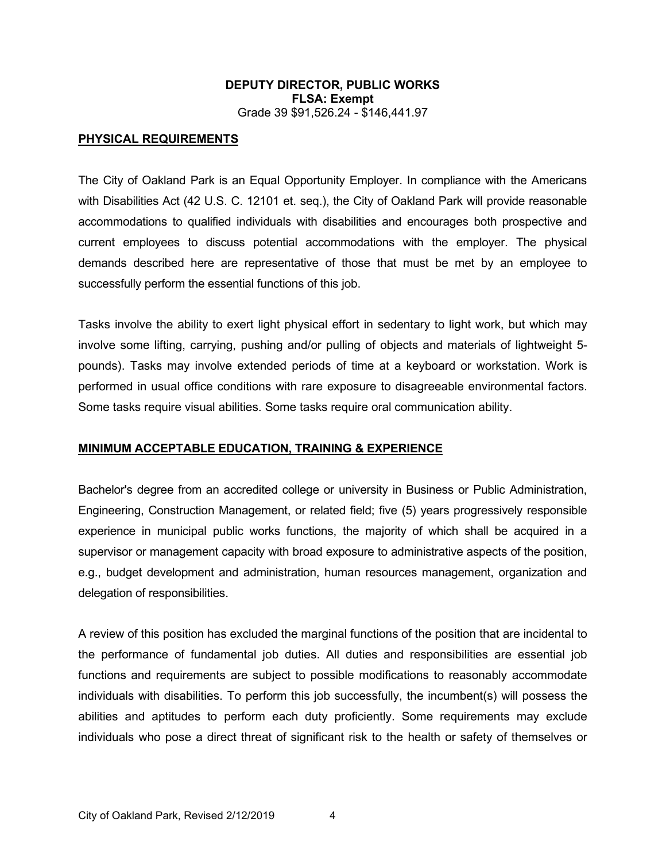### **PHYSICAL REQUIREMENTS**

The City of Oakland Park is an Equal Opportunity Employer. In compliance with the Americans with Disabilities Act (42 U.S. C. 12101 et. seq.), the City of Oakland Park will provide reasonable accommodations to qualified individuals with disabilities and encourages both prospective and current employees to discuss potential accommodations with the employer. The physical demands described here are representative of those that must be met by an employee to successfully perform the essential functions of this job.

Tasks involve the ability to exert light physical effort in sedentary to light work, but which may involve some lifting, carrying, pushing and/or pulling of objects and materials of lightweight 5 pounds). Tasks may involve extended periods of time at a keyboard or workstation. Work is performed in usual office conditions with rare exposure to disagreeable environmental factors. Some tasks require visual abilities. Some tasks require oral communication ability.

## **MINIMUM ACCEPTABLE EDUCATION, TRAINING & EXPERIENCE**

Bachelor's degree from an accredited college or university in Business or Public Administration, Engineering, Construction Management, or related field; five (5) years progressively responsible experience in municipal public works functions, the majority of which shall be acquired in a supervisor or management capacity with broad exposure to administrative aspects of the position, e.g., budget development and administration, human resources management, organization and delegation of responsibilities.

A review of this position has excluded the marginal functions of the position that are incidental to the performance of fundamental job duties. All duties and responsibilities are essential job functions and requirements are subject to possible modifications to reasonably accommodate individuals with disabilities. To perform this job successfully, the incumbent(s) will possess the abilities and aptitudes to perform each duty proficiently. Some requirements may exclude individuals who pose a direct threat of significant risk to the health or safety of themselves or